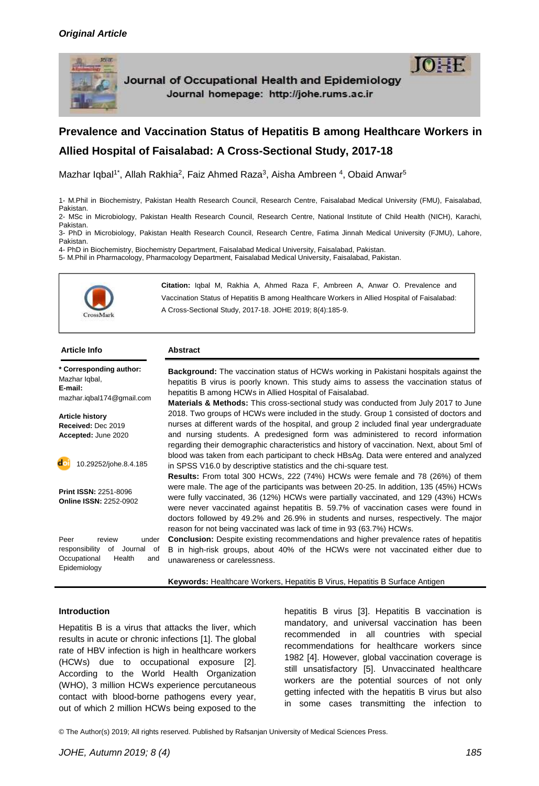

Journal of Occupational Health and Epidemiology Journal homepage: http://johe.rums.ac.ir



# **Prevalence and Vaccination Status of Hepatitis B among Healthcare Workers in Allied Hospital of Faisalabad: A Cross-Sectional Study, 2017-18**

Mazhar Iqbal<sup>1\*</sup>, Allah Rakhia<sup>2</sup>, Faiz Ahmed Raza<sup>3</sup>, Aisha Ambreen <sup>4</sup>, Obaid Anwar<sup>5</sup>

1- M.Phil in Biochemistry, Pakistan Health Research Council, Research Centre, Faisalabad Medical University (FMU), Faisalabad, Pakistan. 2- MSc in Microbiology, Pakistan Health Research Council, Research Centre, National Institute of Child Health (NICH), Karachi,

Pakistan. 3- PhD in Microbiology, Pakistan Health Research Council, Research Centre, Fatima Jinnah Medical University (FJMU), Lahore,

Pakistan.

4- PhD in Biochemistry, Biochemistry Department, Faisalabad Medical University, Faisalabad, Pakistan. 5- M.Phil in Pharmacology, Pharmacology Department, Faisalabad Medical University, Faisalabad, Pakistan.



**Citation:** Iqbal M, Rakhia A, Ahmed Raza F, Ambreen A, Anwar O. Prevalence and Vaccination Status of Hepatitis B among Healthcare Workers in Allied Hospital of Faisalabad: A Cross-Sectional Study, 2017-18. JOHE 2019; 8(4):185-9.

#### **Article Info Abstract**

**\* Corresponding author:** Mazhar Iqbal, **E-mail:**  [mazhar.iqbal174@gmail.com](mailto:mazhar.iqbal174@gmail.com)

**Article history Received:** Dec 2019 **Accepted:** June 2020

10.29252/johe.8.4.185

**Print ISSN:** 2251-8096 **Online ISSN:** 2252-0902

Peer review under responsibility of Journal of Occupational Health and Epidemiology

**Background:** The vaccination status of HCWs working in Pakistani hospitals against the hepatitis B virus is poorly known. This study aims to assess the vaccination status of hepatitis B among HCWs in Allied Hospital of Faisalabad.

**Materials & Methods:** This cross-sectional study was conducted from July 2017 to June 2018. Two groups of HCWs were included in the study. Group 1 consisted of doctors and nurses at different wards of the hospital, and group 2 included final year undergraduate and nursing students. A predesigned form was administered to record information regarding their demographic characteristics and history of vaccination. Next, about 5ml of blood was taken from each participant to check HBsAg. Data were entered and analyzed in SPSS V16.0 by descriptive statistics and the chi-square test.

**Results:** From total 300 HCWs, 222 (74%) HCWs were female and 78 (26%) of them were male. The age of the participants was between 20-25. In addition, 135 (45%) HCWs were fully vaccinated, 36 (12%) HCWs were partially vaccinated, and 129 (43%) HCWs were never vaccinated against hepatitis B. 59.7% of vaccination cases were found in doctors followed by 49.2% and 26.9% in students and nurses, respectively. The major reason for not being vaccinated was lack of time in 93 (63.7%) HCWs.

**Conclusion:** Despite existing recommendations and higher prevalence rates of hepatitis B in high-risk groups, about 40% of the HCWs were not vaccinated either due to unawareness or carelessness.

**Keywords:** Healthcare Workers, Hepatitis B Virus, Hepatitis B Surface Antigen

#### **Introduction**

Hepatitis B is a virus that attacks the liver, which results in acute or chronic infections [1]. The global rate of HBV infection is high in healthcare workers (HCWs) due to occupational exposure [2]. According to the World Health Organization (WHO), 3 million HCWs experience percutaneous contact with blood-borne pathogens every year, out of which 2 million HCWs being exposed to the

hepatitis B virus [3]. Hepatitis B vaccination is mandatory, and universal vaccination has been recommended in all countries with special recommendations for healthcare workers since 1982 [4]. However, global vaccination coverage is still unsatisfactory [5]. Unvaccinated healthcare workers are the potential sources of not only getting infected with the hepatitis B virus but also in some cases transmitting the infection to

© The Author(s) 2019; All rights reserved. Published by Rafsanjan University of Medical Sciences Press.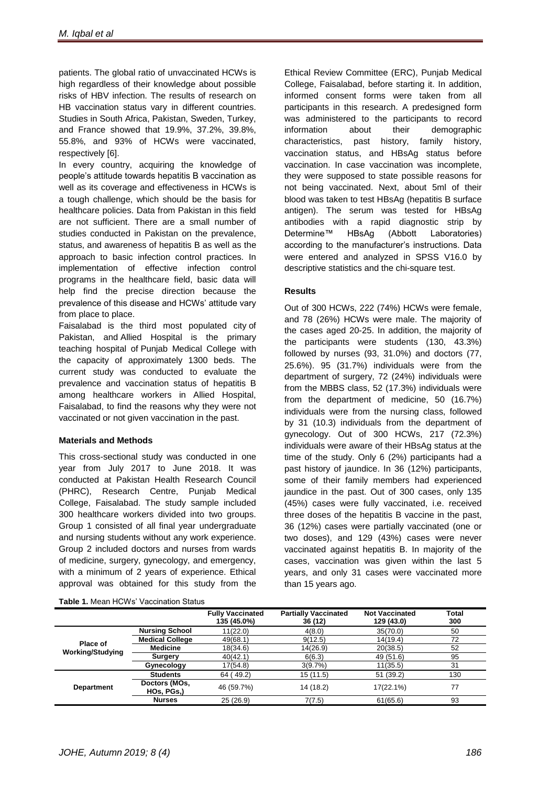patients. The global ratio of unvaccinated HCWs is high regardless of their knowledge about possible risks of HBV infection. The results of research on HB vaccination status vary in different countries. Studies in South Africa, Pakistan, Sweden, Turkey, and France showed that 19.9%, 37.2%, 39.8%, 55.8%, and 93% of HCWs were vaccinated, respectively [6].

In every country, acquiring the knowledge of people's attitude towards hepatitis B vaccination as well as its coverage and effectiveness in HCWs is a tough challenge, which should be the basis for healthcare policies. Data from Pakistan in this field are not sufficient. There are a small number of studies conducted in Pakistan on the prevalence, status, and awareness of hepatitis B as well as the approach to basic infection control practices. In implementation of effective infection control programs in the healthcare field, basic data will help find the precise direction because the prevalence of this disease and HCWs' attitude vary from place to place.

Faisalabad is the third [most populated city](https://en.wikipedia.org/wiki/List_of_most_populated_metropolitan_areas_in_Pakistan) of Pakistan, and Allied Hospital is the primary teaching hospital of [Punjab Medical College](https://en.wikipedia.org/wiki/Faisalabad_Medical_University) with the capacity of approximately 1300 beds. The current study was conducted to evaluate the prevalence and vaccination status of hepatitis B among healthcare workers in Allied Hospital, Faisalabad, to find the reasons why they were not vaccinated or not given vaccination in the past.

#### **Materials and Methods**

This cross-sectional study was conducted in one year from July 2017 to June 2018. It was conducted at Pakistan Health Research Council (PHRC), Research Centre, Punjab Medical College, Faisalabad. The study sample included 300 healthcare workers divided into two groups. Group 1 consisted of all final year undergraduate and nursing students without any work experience. Group 2 included doctors and nurses from wards of medicine, surgery, gynecology, and emergency, with a minimum of 2 years of experience. Ethical approval was obtained for this study from the

**Table 1.** Mean HCWs' Vaccination Status

Ethical Review Committee (ERC), Punjab Medical College, Faisalabad, before starting it. In addition, informed consent forms were taken from all participants in this research. A predesigned form was administered to the participants to record information about their demographic characteristics, past history, family history, vaccination status, and HBsAg status before vaccination. In case vaccination was incomplete, they were supposed to state possible reasons for not being vaccinated. Next, about 5ml of their blood was taken to test HBsAg (hepatitis B surface antigen). The serum was tested for HBsAg antibodies with a rapid diagnostic strip by Determine™ HBsAg (Abbott Laboratories) according to the manufacturer's instructions. Data were entered and analyzed in SPSS V16.0 by descriptive statistics and the chi-square test.

### **Results**

Out of 300 HCWs, 222 (74%) HCWs were female, and 78 (26%) HCWs were male. The majority of the cases aged 20-25. In addition, the majority of the participants were students (130, 43.3%) followed by nurses (93, 31.0%) and doctors (77, 25.6%). 95 (31.7%) individuals were from the department of surgery, 72 (24%) individuals were from the MBBS class, 52 (17.3%) individuals were from the department of medicine, 50 (16.7%) individuals were from the nursing class, followed by 31 (10.3) individuals from the department of gynecology. Out of 300 HCWs, 217 (72.3%) individuals were aware of their HBsAg status at the time of the study. Only 6 (2%) participants had a past history of jaundice. In 36 (12%) participants, some of their family members had experienced jaundice in the past. Out of 300 cases, only 135 (45%) cases were fully vaccinated, i.e. received three doses of the hepatitis B vaccine in the past, 36 (12%) cases were partially vaccinated (one or two doses), and 129 (43%) cases were never vaccinated against hepatitis B. In majority of the cases, vaccination was given within the last 5 years, and only 31 cases were vaccinated more than 15 years ago.

|                                     |                             | <b>Fully Vaccinated</b><br>135 (45.0%) | <b>Partially Vaccinated</b><br>36 (12) | <b>Not Vaccinated</b><br>129 (43.0) | <b>Total</b><br>300 |
|-------------------------------------|-----------------------------|----------------------------------------|----------------------------------------|-------------------------------------|---------------------|
| Place of<br><b>Working/Studying</b> | <b>Nursing School</b>       | 11(22.0)                               | 4(8.0)                                 | 35(70.0)                            | 50                  |
|                                     | <b>Medical College</b>      | 49(68.1)                               | 9(12.5)                                | 14(19.4)                            | 72                  |
|                                     | <b>Medicine</b>             | 18(34.6)                               | 14(26.9)                               | 20(38.5)                            | 52                  |
|                                     | <b>Surgery</b>              | 40(42.1)                               | 6(6.3)                                 | 49 (51.6)                           | 95                  |
|                                     | Gynecology                  | 17(54.8)                               | 3(9.7%)                                | 11(35.5)                            | 31                  |
| <b>Department</b>                   | <b>Students</b>             | 64 (49.2)                              | 15 (11.5)                              | 51 (39.2)                           | 130                 |
|                                     | Doctors (MOs,<br>HOs, PGs,) | 46 (59.7%)                             | 14 (18.2)                              | 17(22.1%)                           | 77                  |
|                                     | <b>Nurses</b>               | 25 (26.9)                              | 7(7.5)                                 | 61(65.6)                            | 93                  |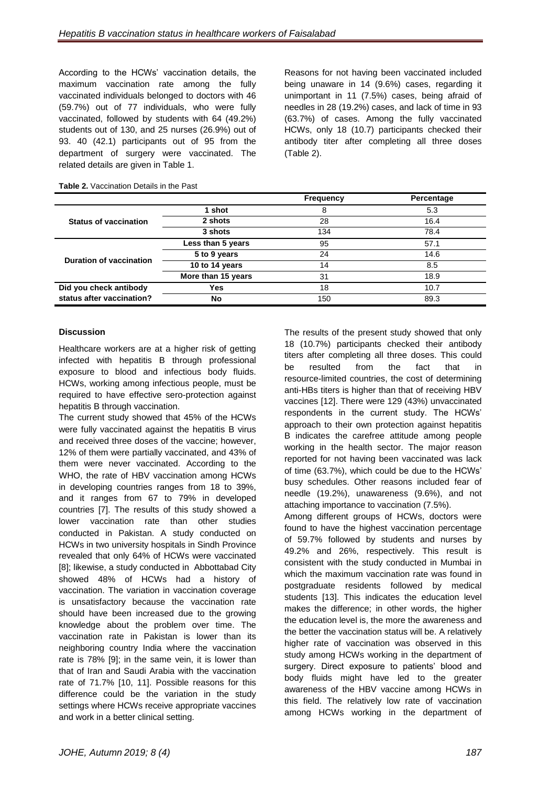According to the HCWs' vaccination details, the maximum vaccination rate among the fully vaccinated individuals belonged to doctors with 46 (59.7%) out of 77 individuals, who were fully vaccinated, followed by students with 64 (49.2%) students out of 130, and 25 nurses (26.9%) out of 93. 40 (42.1) participants out of 95 from the department of surgery were vaccinated. The related details are given in Table 1.

Reasons for not having been vaccinated included being unaware in 14 (9.6%) cases, regarding it unimportant in 11 (7.5%) cases, being afraid of needles in 28 (19.2%) cases, and lack of time in 93 (63.7%) of cases. Among the fully vaccinated HCWs, only 18 (10.7) participants checked their antibody titer after completing all three doses (Table 2).

|                                |                    | <b>Frequency</b> | Percentage |
|--------------------------------|--------------------|------------------|------------|
|                                | 1 shot             | 8                | 5.3        |
| <b>Status of vaccination</b>   | 2 shots            | 28               | 16.4       |
|                                | 3 shots            | 134              | 78.4       |
| <b>Duration of vaccination</b> | Less than 5 years  | 95               | 57.1       |
|                                | 5 to 9 years       | 24               | 14.6       |
|                                | 10 to 14 years     | 14               | 8.5        |
|                                | More than 15 years | 31               | 18.9       |
| Did you check antibody         | <b>Yes</b>         | 18               | 10.7       |
| status after vaccination?      | <b>No</b>          | 150              | 89.3       |

#### **Table 2.** Vaccination Details in the Past

#### **Discussion**

Healthcare workers are at a higher risk of getting infected with hepatitis B through professional exposure to blood and infectious body fluids. HCWs, working among infectious people, must be required to have effective sero-protection against hepatitis B through vaccination.

The current study showed that 45% of the HCWs were fully vaccinated against the hepatitis B virus and received three doses of the vaccine; however, 12% of them were partially vaccinated, and 43% of them were never vaccinated. According to the WHO, the rate of HBV vaccination among HCWs in developing countries ranges from 18 to 39%, and it ranges from 67 to 79% in developed countries [7]. The results of this study showed a lower vaccination rate than other studies conducted in Pakistan. A study conducted on HCWs in two university hospitals in Sindh Province revealed that only 64% of HCWs were vaccinated [8]; likewise, a study conducted in Abbottabad City showed 48% of HCWs had a history of vaccination. The variation in vaccination coverage is unsatisfactory because the vaccination rate should have been increased due to the growing knowledge about the problem over time. The vaccination rate in Pakistan is lower than its neighboring country India where the vaccination rate is 78% [9]; in the same vein, it is lower than that of Iran and Saudi Arabia with the vaccination rate of 71.7% [10, 11]. Possible reasons for this difference could be the variation in the study settings where HCWs receive appropriate vaccines and work in a better clinical setting.

The results of the present study showed that only 18 (10.7%) participants checked their antibody titers after completing all three doses. This could be resulted from the fact that in resource-limited countries, the cost of determining anti-HBs titers is higher than that of receiving HBV vaccines [12]. There were 129 (43%) unvaccinated respondents in the current study. The HCWs' approach to their own protection against hepatitis B indicates the carefree attitude among people working in the health sector. The major reason reported for not having been vaccinated was lack of time (63.7%), which could be due to the HCWs' busy schedules. Other reasons included fear of needle (19.2%), unawareness (9.6%), and not attaching importance to vaccination (7.5%). Among different groups of HCWs, doctors were found to have the highest vaccination percentage

of 59.7% followed by students and nurses by 49.2% and 26%, respectively. This result is consistent with the study conducted in Mumbai in which the maximum vaccination rate was found in postgraduate residents followed by medical students [13]. This indicates the education level makes the difference; in other words, the higher the education level is, the more the awareness and the better the vaccination status will be. A relatively higher rate of vaccination was observed in this study among HCWs working in the department of surgery. Direct exposure to patients' blood and body fluids might have led to the greater awareness of the HBV vaccine among HCWs in this field. The relatively low rate of vaccination among HCWs working in the department of